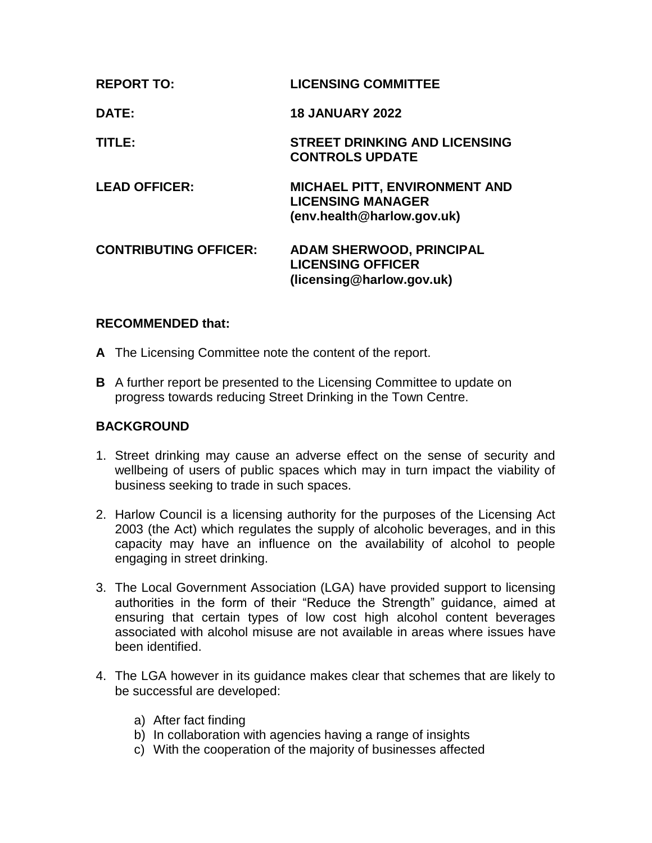| <b>REPORT TO:</b>            | <b>LICENSING COMMITTEE</b>                                                               |
|------------------------------|------------------------------------------------------------------------------------------|
| DATE:                        | <b>18 JANUARY 2022</b>                                                                   |
| TITLE:                       | <b>STREET DRINKING AND LICENSING</b><br><b>CONTROLS UPDATE</b>                           |
| <b>LEAD OFFICER:</b>         | MICHAEL PITT, ENVIRONMENT AND<br><b>LICENSING MANAGER</b><br>(env.health@harlow.gov.uk)  |
| <b>CONTRIBUTING OFFICER:</b> | <b>ADAM SHERWOOD, PRINCIPAL</b><br><b>LICENSING OFFICER</b><br>(licensing@harlow.gov.uk) |

## **RECOMMENDED that:**

- **A** The Licensing Committee note the content of the report.
- **B** A further report be presented to the Licensing Committee to update on progress towards reducing Street Drinking in the Town Centre.

## **BACKGROUND**

- 1. Street drinking may cause an adverse effect on the sense of security and wellbeing of users of public spaces which may in turn impact the viability of business seeking to trade in such spaces.
- 2. Harlow Council is a licensing authority for the purposes of the Licensing Act 2003 (the Act) which regulates the supply of alcoholic beverages, and in this capacity may have an influence on the availability of alcohol to people engaging in street drinking.
- 3. The Local Government Association (LGA) have provided support to licensing authorities in the form of their "Reduce the Strength" guidance, aimed at ensuring that certain types of low cost high alcohol content beverages associated with alcohol misuse are not available in areas where issues have been identified.
- 4. The LGA however in its guidance makes clear that schemes that are likely to be successful are developed:
	- a) After fact finding
	- b) In collaboration with agencies having a range of insights
	- c) With the cooperation of the majority of businesses affected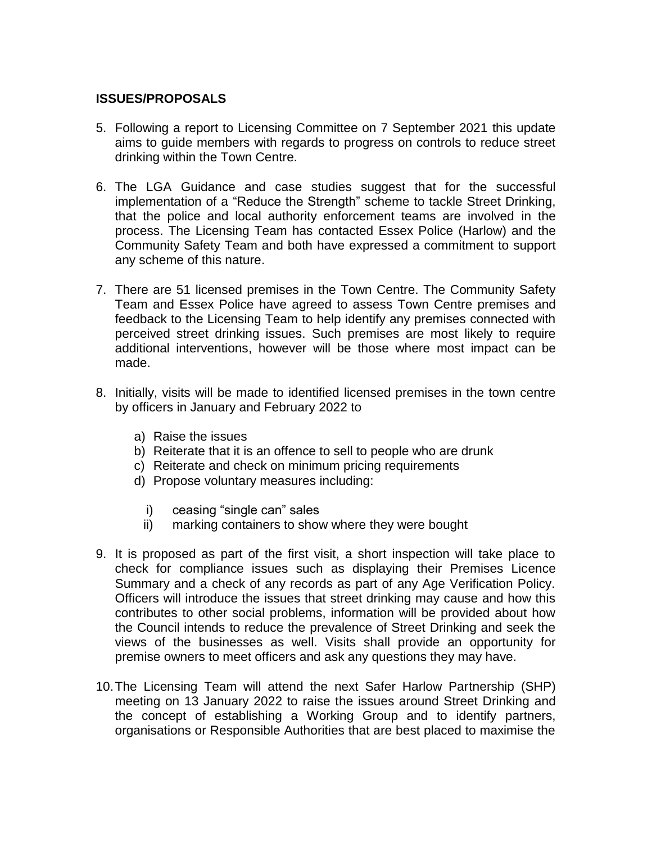# **ISSUES/PROPOSALS**

- 5. Following a report to Licensing Committee on 7 September 2021 this update aims to guide members with regards to progress on controls to reduce street drinking within the Town Centre.
- 6. The LGA Guidance and case studies suggest that for the successful implementation of a "Reduce the Strength" scheme to tackle Street Drinking, that the police and local authority enforcement teams are involved in the process. The Licensing Team has contacted Essex Police (Harlow) and the Community Safety Team and both have expressed a commitment to support any scheme of this nature.
- 7. There are 51 licensed premises in the Town Centre. The Community Safety Team and Essex Police have agreed to assess Town Centre premises and feedback to the Licensing Team to help identify any premises connected with perceived street drinking issues. Such premises are most likely to require additional interventions, however will be those where most impact can be made.
- 8. Initially, visits will be made to identified licensed premises in the town centre by officers in January and February 2022 to
	- a) Raise the issues
	- b) Reiterate that it is an offence to sell to people who are drunk
	- c) Reiterate and check on minimum pricing requirements
	- d) Propose voluntary measures including:
		- i) ceasing "single can" sales
		- ii) marking containers to show where they were bought
- 9. It is proposed as part of the first visit, a short inspection will take place to check for compliance issues such as displaying their Premises Licence Summary and a check of any records as part of any Age Verification Policy. Officers will introduce the issues that street drinking may cause and how this contributes to other social problems, information will be provided about how the Council intends to reduce the prevalence of Street Drinking and seek the views of the businesses as well. Visits shall provide an opportunity for premise owners to meet officers and ask any questions they may have.
- 10.The Licensing Team will attend the next Safer Harlow Partnership (SHP) meeting on 13 January 2022 to raise the issues around Street Drinking and the concept of establishing a Working Group and to identify partners, organisations or Responsible Authorities that are best placed to maximise the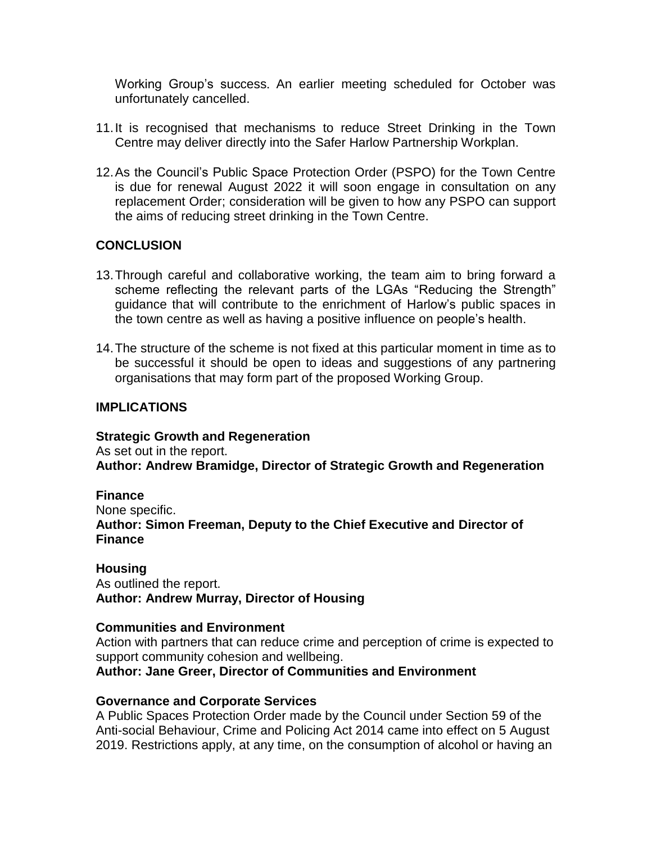Working Group's success. An earlier meeting scheduled for October was unfortunately cancelled.

- 11.It is recognised that mechanisms to reduce Street Drinking in the Town Centre may deliver directly into the Safer Harlow Partnership Workplan.
- 12.As the Council's Public Space Protection Order (PSPO) for the Town Centre is due for renewal August 2022 it will soon engage in consultation on any replacement Order; consideration will be given to how any PSPO can support the aims of reducing street drinking in the Town Centre.

# **CONCLUSION**

- 13.Through careful and collaborative working, the team aim to bring forward a scheme reflecting the relevant parts of the LGAs "Reducing the Strength" guidance that will contribute to the enrichment of Harlow's public spaces in the town centre as well as having a positive influence on people's health.
- 14.The structure of the scheme is not fixed at this particular moment in time as to be successful it should be open to ideas and suggestions of any partnering organisations that may form part of the proposed Working Group.

#### **IMPLICATIONS**

**Strategic Growth and Regeneration** As set out in the report. **Author: Andrew Bramidge, Director of Strategic Growth and Regeneration** 

**Finance** None specific. **Author: Simon Freeman, Deputy to the Chief Executive and Director of Finance**

**Housing** As outlined the report. **Author: Andrew Murray, Director of Housing** 

#### **Communities and Environment**

Action with partners that can reduce crime and perception of crime is expected to support community cohesion and wellbeing.

**Author: Jane Greer, Director of Communities and Environment**

#### **Governance and Corporate Services**

A Public Spaces Protection Order made by the Council under Section 59 of the Anti-social Behaviour, Crime and Policing Act 2014 came into effect on 5 August 2019. Restrictions apply, at any time, on the consumption of alcohol or having an